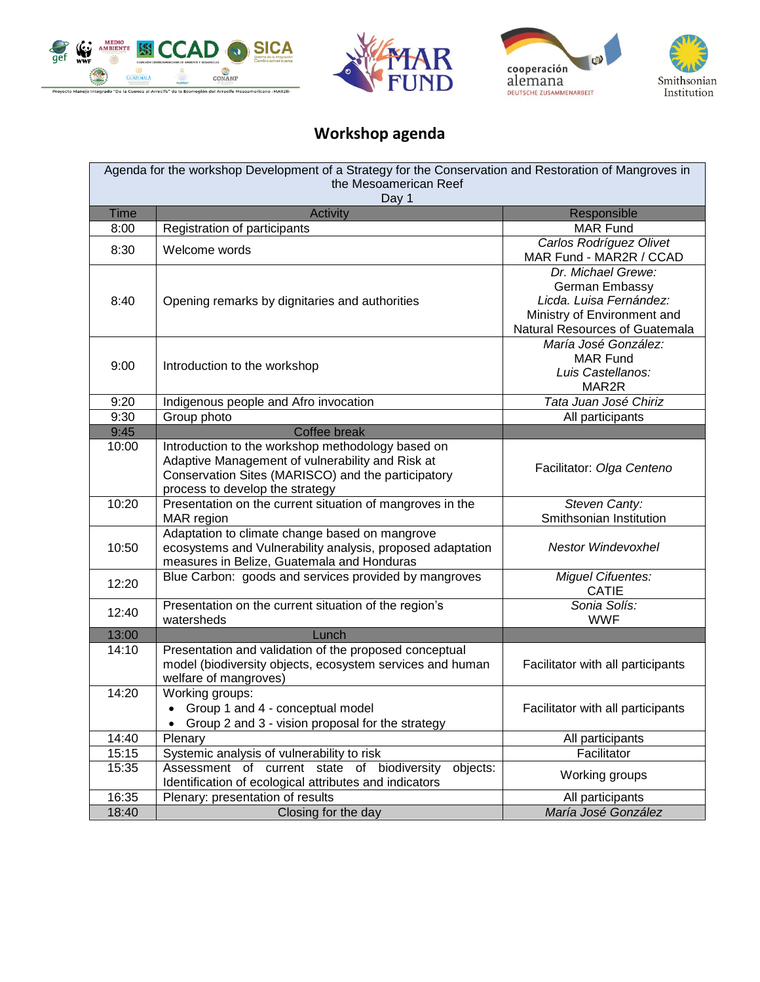







## **Workshop agenda**

| Agenda for the workshop Development of a Strategy for the Conservation and Restoration of Mangroves in<br>the Mesoamerican Reef |                                                                                                       |                                                               |  |  |
|---------------------------------------------------------------------------------------------------------------------------------|-------------------------------------------------------------------------------------------------------|---------------------------------------------------------------|--|--|
| Day 1                                                                                                                           |                                                                                                       |                                                               |  |  |
| <b>Time</b>                                                                                                                     | <b>Activity</b>                                                                                       | Responsible                                                   |  |  |
| 8:00                                                                                                                            | Registration of participants                                                                          | <b>MAR Fund</b>                                               |  |  |
| 8:30                                                                                                                            | Welcome words                                                                                         | Carlos Rodríguez Olivet                                       |  |  |
|                                                                                                                                 |                                                                                                       | MAR Fund - MAR2R / CCAD                                       |  |  |
|                                                                                                                                 |                                                                                                       | Dr. Michael Grewe:                                            |  |  |
|                                                                                                                                 |                                                                                                       | German Embassy<br>Licda. Luisa Fernández:                     |  |  |
| 8:40                                                                                                                            | Opening remarks by dignitaries and authorities                                                        |                                                               |  |  |
|                                                                                                                                 |                                                                                                       | Ministry of Environment and<br>Natural Resources of Guatemala |  |  |
|                                                                                                                                 |                                                                                                       | María José González:                                          |  |  |
|                                                                                                                                 |                                                                                                       | <b>MAR Fund</b>                                               |  |  |
| 9:00                                                                                                                            | Introduction to the workshop                                                                          | Luis Castellanos:                                             |  |  |
|                                                                                                                                 |                                                                                                       | MAR2R                                                         |  |  |
| 9:20                                                                                                                            | Indigenous people and Afro invocation                                                                 | Tata Juan José Chiriz                                         |  |  |
| 9:30                                                                                                                            | Group photo                                                                                           | All participants                                              |  |  |
| 9:45                                                                                                                            | Coffee break                                                                                          |                                                               |  |  |
| 10:00                                                                                                                           | Introduction to the workshop methodology based on                                                     |                                                               |  |  |
|                                                                                                                                 | Adaptive Management of vulnerability and Risk at                                                      | Facilitator: Olga Centeno                                     |  |  |
|                                                                                                                                 | Conservation Sites (MARISCO) and the participatory                                                    |                                                               |  |  |
|                                                                                                                                 | process to develop the strategy                                                                       |                                                               |  |  |
| 10:20                                                                                                                           | Presentation on the current situation of mangroves in the                                             | Steven Canty:<br>Smithsonian Institution                      |  |  |
|                                                                                                                                 | MAR region<br>Adaptation to climate change based on mangrove                                          |                                                               |  |  |
| 10:50                                                                                                                           | ecosystems and Vulnerability analysis, proposed adaptation                                            | <b>Nestor Windevoxhel</b>                                     |  |  |
|                                                                                                                                 | measures in Belize, Guatemala and Honduras                                                            |                                                               |  |  |
|                                                                                                                                 | Blue Carbon: goods and services provided by mangroves                                                 | <b>Miguel Cifuentes:</b>                                      |  |  |
| 12:20                                                                                                                           |                                                                                                       | <b>CATIE</b>                                                  |  |  |
|                                                                                                                                 | Presentation on the current situation of the region's                                                 | Sonia Solís:                                                  |  |  |
| 12:40                                                                                                                           | watersheds                                                                                            | <b>WWF</b>                                                    |  |  |
| 13:00                                                                                                                           | Lunch                                                                                                 |                                                               |  |  |
| 14:10                                                                                                                           | Presentation and validation of the proposed conceptual                                                |                                                               |  |  |
|                                                                                                                                 | model (biodiversity objects, ecosystem services and human                                             | Facilitator with all participants                             |  |  |
|                                                                                                                                 | welfare of mangroves)                                                                                 |                                                               |  |  |
| 14:20                                                                                                                           | Working groups:                                                                                       |                                                               |  |  |
|                                                                                                                                 | • Group 1 and 4 - conceptual model                                                                    | Facilitator with all participants                             |  |  |
|                                                                                                                                 | • Group 2 and 3 - vision proposal for the strategy                                                    |                                                               |  |  |
| 14:40                                                                                                                           | Plenary<br>Systemic analysis of vulnerability to risk                                                 | All participants                                              |  |  |
| 15:15<br>15:35                                                                                                                  | objects:                                                                                              | Facilitator                                                   |  |  |
|                                                                                                                                 | Assessment of current state of biodiversity<br>Identification of ecological attributes and indicators | Working groups                                                |  |  |
| 16:35                                                                                                                           | Plenary: presentation of results                                                                      | All participants                                              |  |  |
| 18:40                                                                                                                           | Closing for the day                                                                                   | María José González                                           |  |  |